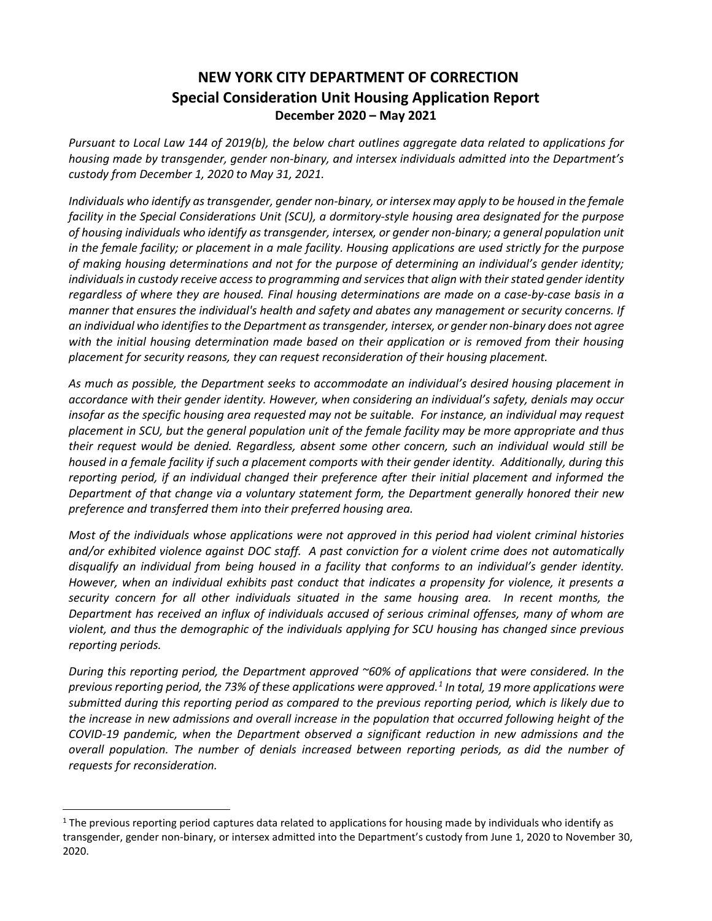## **NEW YORK CITY DEPARTMENT OF CORRECTION Special Consideration Unit Housing Application Report December 2020 – May 2021**

*Pursuant to Local Law 144 of 2019(b), the below chart outlines aggregate data related to applications for housing made by transgender, gender non-binary, and intersex individuals admitted into the Department's custody from December 1, 2020 to May 31, 2021.*

*Individuals who identify as transgender, gender non-binary, or intersex may apply to be housed in the female facility in the Special Considerations Unit (SCU), a dormitory-style housing area designated for the purpose of housing individuals who identify as transgender, intersex, or gender non-binary; a general population unit in the female facility; or placement in a male facility. Housing applications are used strictly for the purpose of making housing determinations and not for the purpose of determining an individual's gender identity; individuals in custody receive access to programming and services that align with their stated gender identity regardless of where they are housed. Final housing determinations are made on a case-by-case basis in a manner that ensures the individual's health and safety and abates any management or security concerns. If an individual who identifies to the Department as transgender, intersex, or gender non-binary does not agree with the initial housing determination made based on their application or is removed from their housing placement for security reasons, they can request reconsideration of their housing placement.* 

*As much as possible, the Department seeks to accommodate an individual's desired housing placement in accordance with their gender identity. However, when considering an individual's safety, denials may occur insofar as the specific housing area requested may not be suitable. For instance, an individual may request placement in SCU, but the general population unit of the female facility may be more appropriate and thus their request would be denied. Regardless, absent some other concern, such an individual would still be housed in a female facility if such a placement comports with their gender identity. Additionally, during this reporting period, if an individual changed their preference after their initial placement and informed the Department of that change via a voluntary statement form, the Department generally honored their new preference and transferred them into their preferred housing area.*

*Most of the individuals whose applications were not approved in this period had violent criminal histories and/or exhibited violence against DOC staff. A past conviction for a violent crime does not automatically disqualify an individual from being housed in a facility that conforms to an individual's gender identity. However, when an individual exhibits past conduct that indicates a propensity for violence, it presents a security concern for all other individuals situated in the same housing area. In recent months, the Department has received an influx of individuals accused of serious criminal offenses, many of whom are violent, and thus the demographic of the individuals applying for SCU housing has changed since previous reporting periods.*

*During this reporting period, the Department approved ~60% of applications that were considered. In the previous reporting period, the 73% of these applications were approved.[1](#page-0-0) In total, 19 more applications were submitted during this reporting period as compared to the previous reporting period, which is likely due to the increase in new admissions and overall increase in the population that occurred following height of the COVID-19 pandemic, when the Department observed a significant reduction in new admissions and the overall population. The number of denials increased between reporting periods, as did the number of requests for reconsideration.* 

<span id="page-0-0"></span> $1$  The previous reporting period captures data related to applications for housing made by individuals who identify as transgender, gender non-binary, or intersex admitted into the Department's custody from June 1, 2020 to November 30, 2020.